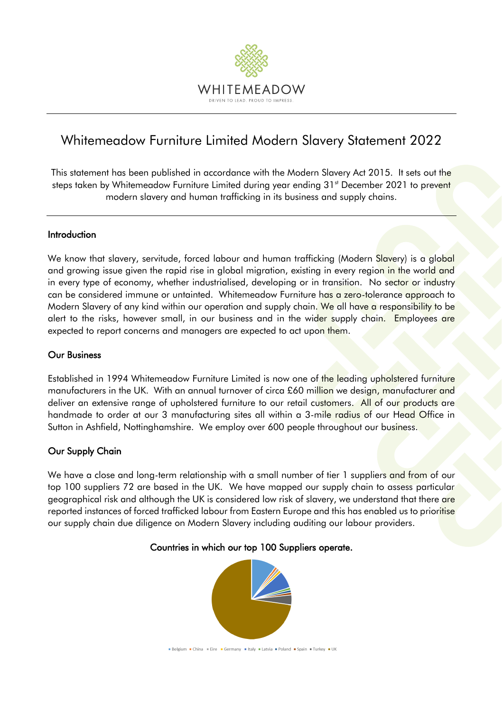

# Whitemeadow Furniture Limited Modern Slavery Statement 2022

This statement has been published in accordance with the Modern Slavery Act 2015. It sets out the steps taken by Whitemeadow Furniture Limited during year ending 31<sup>st</sup> December 2021 to prevent modern slavery and human trafficking in its business and supply chains.

# Introduction

We know that slavery, servitude, forced labour and human trafficking (Modern Slavery) is a global and growing issue given the rapid rise in global migration, existing in every region in the world and in every type of economy, whether industrialised, developing or in transition. No sector or industry can be considered immune or untainted. Whitemeadow Furniture has a zero-tolerance approach to Modern Slavery of any kind within our operation and supply chain. We all have a responsibility to be alert to the risks, however small, in our business and in the wider supply chain. Employees are expected to report concerns and managers are expected to act upon them.

# Our Business

Established in 1994 Whitemeadow Furniture Limited is now one of the leading upholstered furniture manufacturers in the UK. With an annual turnover of circa £60 million we design, manufacturer and deliver an extensive range of upholstered furniture to our retail customers. All of our products are handmade to order at our 3 manufacturing sites all within a 3-mile radius of our Head Office in Sutton in Ashfield, Nottinghamshire. We employ over 600 people throughout our business.

# Our Supply Chain

We have a close and long-term relationship with a small number of tier 1 suppliers and from of our top 100 suppliers 72 are based in the UK. We have mapped our supply chain to assess particular geographical risk and although the UK is considered low risk of slavery, we understand that there are reported instances of forced trafficked labour from Eastern Europe and this has enabled us to prioritise our supply chain due diligence on Modern Slavery including auditing our labour providers.

### Countries in which our top 100 Suppliers operate.



Belgium China Eire Germany Litaly Latvia Poland Spain Turkey UK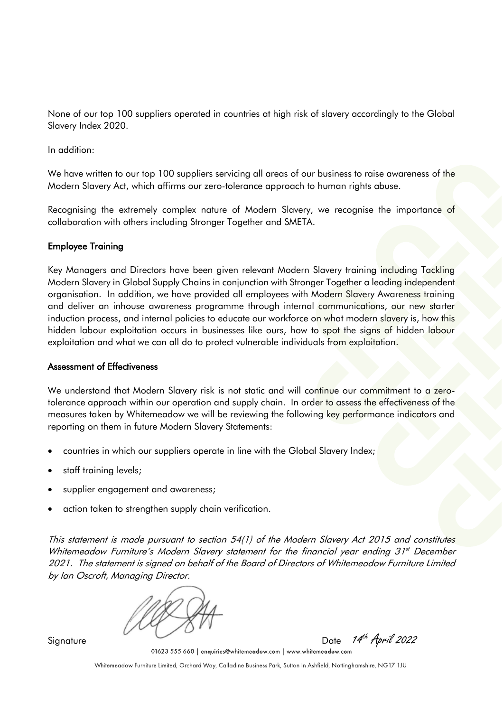None of our top 100 suppliers operated in countries at high risk of slavery accordingly to the Global Slavery Index 2020.

In addition:

We have written to our top 100 suppliers servicing all areas of our business to raise awareness of the Modern Slavery Act, which affirms our zero-tolerance approach to human rights abuse.

Recognising the extremely complex nature of Modern Slavery, we recognise the importance of collaboration with others including Stronger Together and SMETA.

# Employee Training

Key Managers and Directors have been given relevant Modern Slavery training including Tackling Modern Slavery in Global Supply Chains in conjunction with Stronger Together a leading independent organisation. In addition, we have provided all employees with Modern Slavery Awareness training and deliver an inhouse awareness programme through internal communications, our new starter induction process, and internal policies to educate our workforce on what modern slavery is, how this hidden labour exploitation occurs in businesses like ours, how to spot the signs of hidden labour exploitation and what we can all do to protect vulnerable individuals from exploitation.

### Assessment of Effectiveness

We understand that Modern Slavery risk is not static and will continue our commitment to a zerotolerance approach within our operation and supply chain. In order to assess the effectiveness of the measures taken by Whitemeadow we will be reviewing the following key performance indicators and reporting on them in future Modern Slavery Statements:

- countries in which our suppliers operate in line with the Global Slavery Index;
- staff training levels;
- supplier engagement and awareness;
- action taken to strengthen supply chain verification.

This statement is made pursuant to section 54(1) of the Modern Slavery Act 2015 and constitutes Whitemeadow Furniture's Modern Slavery statement for the financial year ending 31<sup>st</sup> December 2021. The statement is signed on behalf of the Board of Directors of Whitemeadow Furniture Limited by Ian Oscroft, Managing Director.

Signature Date 14<sup>th</sup> April 2022<br>01623 555 660 | enquiries@whitemeadow.com | www.whitemeadow.com

Whitemeadow Furniture Limited, Orchard Way, Calladine Business Park, Sutton In Ashfield, Nottinghamshire, NG17 1JU